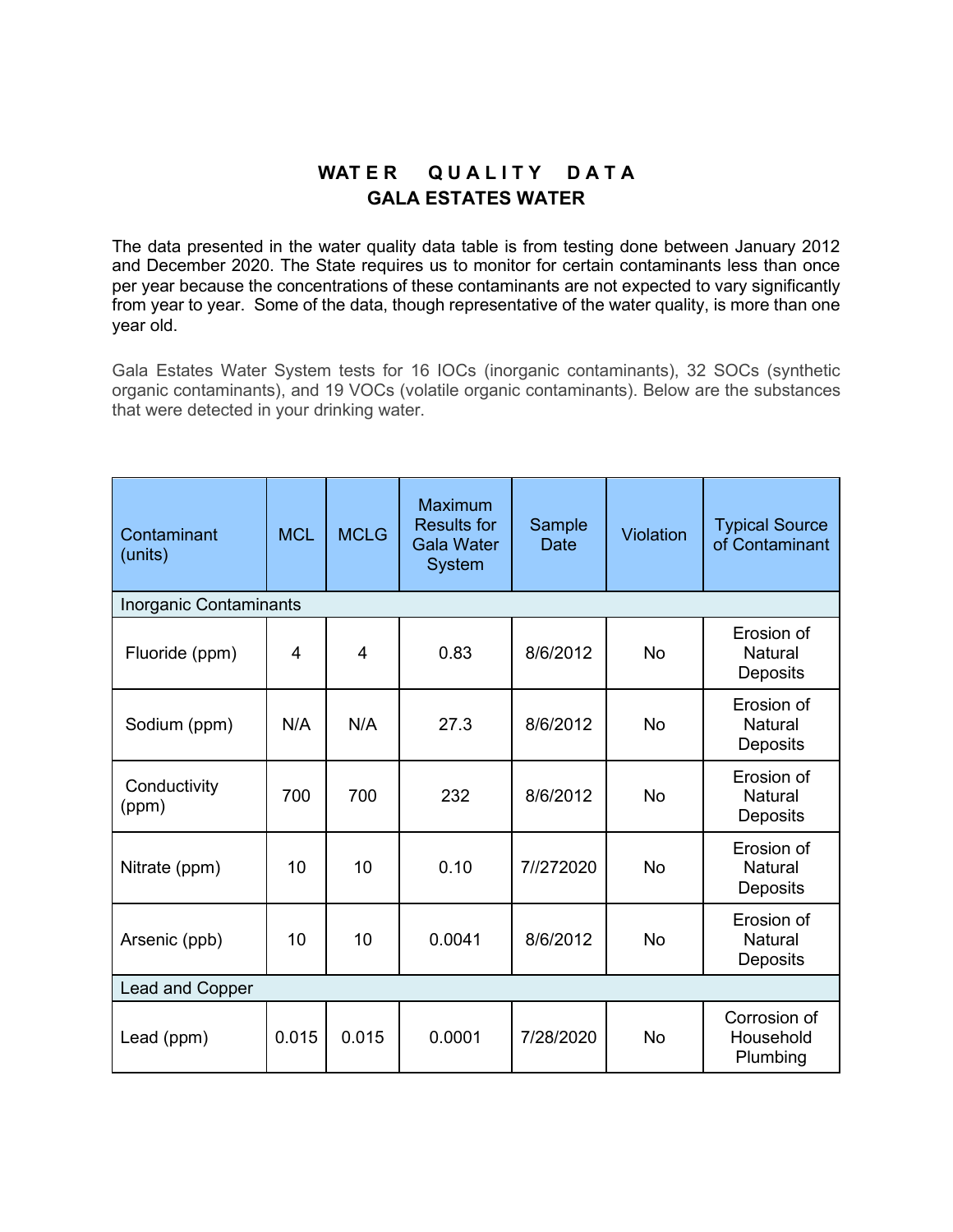## WATER QUALITY DATA **GALA ESTATES WATER**

The data presented in the water quality data table is from testing done between January 2012 and December 2020. The State requires us to monitor for certain contaminants less than once per year because the concentrations of these contaminants are not expected to vary significantly from year to year. Some of the data, though representative of the water quality, is more than one year old.

Gala Estates Water System tests for 16 IOCs (inorganic contaminants), 32 SOCs (synthetic organic contaminants), and 19 VOCs (volatile organic contaminants). Below are the substances that were detected in your drinking water.

| Contaminant<br>(units) | <b>MCL</b>     | <b>MCLG</b> | <b>Maximum</b><br><b>Results for</b><br><b>Gala Water</b><br><b>System</b> | Sample<br>Date | Violation | <b>Typical Source</b><br>of Contaminant  |  |  |  |  |
|------------------------|----------------|-------------|----------------------------------------------------------------------------|----------------|-----------|------------------------------------------|--|--|--|--|
| Inorganic Contaminants |                |             |                                                                            |                |           |                                          |  |  |  |  |
| Fluoride (ppm)         | $\overline{4}$ | 4           | 0.83                                                                       | 8/6/2012       | <b>No</b> | Erosion of<br><b>Natural</b><br>Deposits |  |  |  |  |
| Sodium (ppm)           | N/A            | N/A         | 27.3                                                                       | 8/6/2012       | <b>No</b> | Erosion of<br><b>Natural</b><br>Deposits |  |  |  |  |
| Conductivity<br>(ppm)  | 700            | 700         | 232                                                                        | 8/6/2012       | <b>No</b> | Erosion of<br><b>Natural</b><br>Deposits |  |  |  |  |
| Nitrate (ppm)          | 10             | 10          | 0.10                                                                       | 7//272020      | <b>No</b> | Erosion of<br><b>Natural</b><br>Deposits |  |  |  |  |
| Arsenic (ppb)          | 10             | 10          | 0.0041                                                                     | 8/6/2012       | <b>No</b> | Erosion of<br><b>Natural</b><br>Deposits |  |  |  |  |
| Lead and Copper        |                |             |                                                                            |                |           |                                          |  |  |  |  |
| Lead (ppm)             | 0.015          | 0.015       | 0.0001                                                                     | 7/28/2020      | <b>No</b> | Corrosion of<br>Household<br>Plumbing    |  |  |  |  |